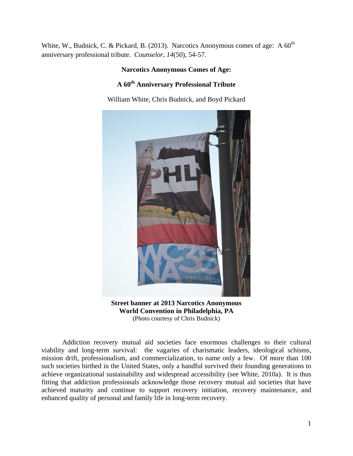White, W., Budnick, C. & Pickard, B. (2013). Narcotics Anonymous comes of age: A  $60<sup>th</sup>$ anniversary professional tribute. *Counselor, 14*(50), 54-57*.* 

## **Narcotics Anonymous Comes of Age:**

# **A 60th Anniversary Professional Tribute**

William White, Chris Budnick, and Boyd Pickard



**Street banner at 2013 Narcotics Anonymous World Convention in Philadelphia, PA**  (Photo courtesy of Chris Budnick)

 Addiction recovery mutual aid societies face enormous challenges to their cultural viability and long-term survival: the vagaries of charismatic leaders, ideological schisms, mission drift, professionalism, and commercialization, to name only a few. Of more than 100 such societies birthed in the United States, only a handful survived their founding generations to achieve organizational sustainability and widespread accessibility (see White, 2010a). It is thus fitting that addiction professionals acknowledge those recovery mutual aid societies that have achieved maturity and continue to support recovery initiation, recovery maintenance, and enhanced quality of personal and family life in long-term recovery.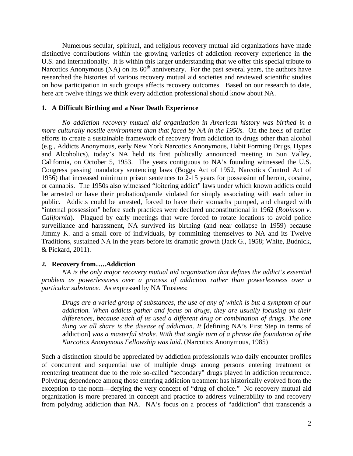Numerous secular, spiritual, and religious recovery mutual aid organizations have made distinctive contributions within the growing varieties of addiction recovery experience in the U.S. and internationally. It is within this larger understanding that we offer this special tribute to Narcotics Anonymous (NA) on its 60<sup>th</sup> anniversary. For the past several years, the authors have researched the histories of various recovery mutual aid societies and reviewed scientific studies on how participation in such groups affects recovery outcomes. Based on our research to date, here are twelve things we think every addiction professional should know about NA.

#### **1. A Difficult Birthing and a Near Death Experience**

*No addiction recovery mutual aid organization in American history was birthed in a more culturally hostile environment than that faced by NA in the 1950s.* On the heels of earlier efforts to create a sustainable framework of recovery from addiction to drugs other than alcohol (e.g., Addicts Anonymous, early New York Narcotics Anonymous, Habit Forming Drugs, Hypes and Alcoholics), today's NA held its first publically announced meeting in Sun Valley, California, on October 5, 1953. The years contiguous to NA's founding witnessed the U.S. Congress passing mandatory sentencing laws (Boggs Act of 1952, Narcotics Control Act of 1956) that increased minimum prison sentences to 2-15 years for possession of heroin, cocaine, or cannabis. The 1950s also witnessed "loitering addict" laws under which known addicts could be arrested or have their probation/parole violated for simply associating with each other in public. Addicts could be arrested, forced to have their stomachs pumped, and charged with "internal possession" before such practices were declared unconstitutional in 1962 (*Robinson v. California*). Plagued by early meetings that were forced to rotate locations to avoid police surveillance and harassment, NA survived its birthing (and near collapse in 1959) because Jimmy K. and a small core of individuals, by committing themselves to NA and its Twelve Traditions, sustained NA in the years before its dramatic growth (Jack G., 1958; White, Budnick, & Pickard, 2011).

#### **2. Recovery from…..Addiction**

*NA is the only major recovery mutual aid organization that defines the addict's essential problem as powerlessness over a process of addiction rather than powerlessness over a particular substance.* As expressed by NA Trustees:

*Drugs are a varied group of substances, the use of any of which is but a symptom of our addiction. When addicts gather and focus on drugs, they are usually focusing on their differences, because each of us used a different drug or combination of drugs. The one thing we all share is the disease of addiction. It* [defining NA's First Step in terms of addiction] *was a masterful stroke. With that single turn of a phrase the foundation of the Narcotics Anonymous Fellowship was laid*. (Narcotics Anonymous, 1985)

Such a distinction should be appreciated by addiction professionals who daily encounter profiles of concurrent and sequential use of multiple drugs among persons entering treatment or reentering treatment due to the role so-called "secondary" drugs played in addiction recurrence. Polydrug dependence among those entering addiction treatment has historically evolved from the exception to the norm—defying the very concept of "drug of choice." No recovery mutual aid organization is more prepared in concept and practice to address vulnerability to and recovery from polydrug addiction than NA. NA's focus on a process of "addiction" that transcends a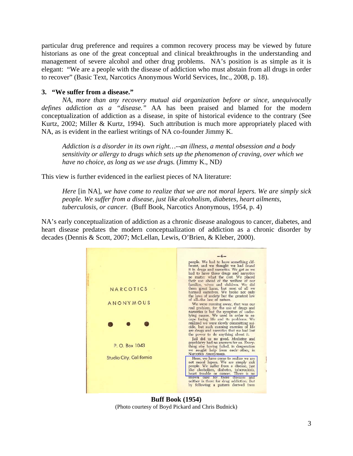particular drug preference and requires a common recovery process may be viewed by future historians as one of the great conceptual and clinical breakthroughs in the understanding and management of severe alcohol and other drug problems. NA's position is as simple as it is elegant: "We are a people with the disease of addiction who must abstain from all drugs in order to recover" (Basic Text, Narcotics Anonymous World Services, Inc., 2008, p. 18).

## **3. "We suffer from a disease."**

*NA, more than any recovery mutual aid organization before or since, unequivocally defines addiction as a "disease."* AA has been praised and blamed for the modern conceptualization of addiction as a disease, in spite of historical evidence to the contrary (See Kurtz, 2002; Miller & Kurtz, 1994). Such attribution is much more appropriately placed with NA, as is evident in the earliest writings of NA co-founder Jimmy K.

*Addiction is a disorder in its own right…--an illness, a mental obsession and a body sensitivity or allergy to drugs which sets up the phenomenon of craving, over which we have no choice, as long as we use drugs.* (Jimmy K., ND*)* 

This view is further evidenced in the earliest pieces of NA literature:

*Here* [in NA], *we have come to realize that we are not moral lepers. We are simply sick people. We suffer from a disease, just like alcoholism, diabetes, heart ailments, tuberculosis, or cancer.* (Buff Book, Narcotics Anonymous, 1954, p. 4)

NA's early conceptualization of addiction as a chronic disease analogous to cancer, diabetes, and heart disease predates the modern conceptualization of addiction as a chronic disorder by decades (Dennis & Scott, 2007; McLellan, Lewis, O'Brien, & Kleber, 2000).



**Buff Book (1954)** (Photo courtesy of Boyd Pickard and Chris Budnick)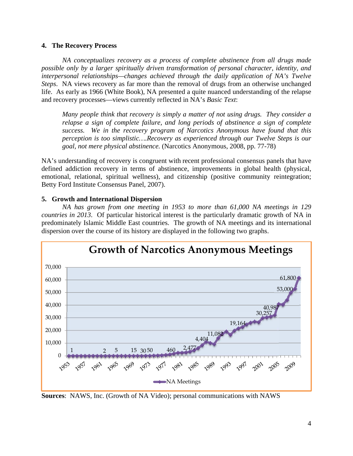### **4. The Recovery Process**

*NA conceptualizes recovery as a process of complete abstinence from all drugs made possible only by a larger spiritually driven transformation of personal character, identity, and interpersonal relationships—changes achieved through the daily application of NA's Twelve Steps*. NA views recovery as far more than the removal of drugs from an otherwise unchanged life. As early as 1966 (White Book), NA presented a quite nuanced understanding of the relapse and recovery processes—views currently reflected in NA's *Basic Text*:

*Many people think that recovery is simply a matter of not using drugs. They consider a relapse a sign of complete failure, and long periods of abstinence a sign of complete success. We in the recovery program of Narcotics Anonymous have found that this perception is too simplistic….Recovery as experienced through our Twelve Steps is our goal, not mere physical abstinence.* (Narcotics Anonymous, 2008, pp. 77-78)

NA's understanding of recovery is congruent with recent professional consensus panels that have defined addiction recovery in terms of abstinence, improvements in global health (physical, emotional, relational, spiritual wellness), and citizenship (positive community reintegration; Betty Ford Institute Consensus Panel, 2007).

### **5. Growth and International Dispersion**

*NA has grown from one meeting in 1953 to more than 61,000 NA meetings in 129 countries in 2013*. Of particular historical interest is the particularly dramatic growth of NA in predominately Islamic Middle East countries. The growth of NA meetings and its international dispersion over the course of its history are displayed in the following two graphs.



**Sources**: NAWS, Inc. (Growth of NA Video); personal communications with NAWS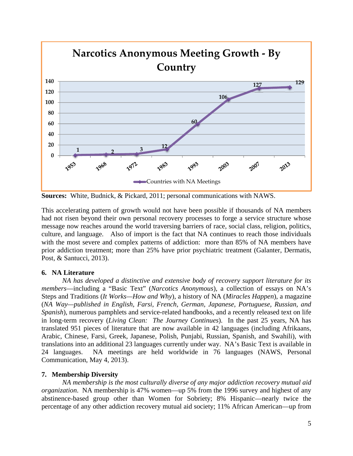

**Sources:** White, Budnick, & Pickard, 2011; personal communications with NAWS.

This accelerating pattern of growth would not have been possible if thousands of NA members had not risen beyond their own personal recovery processes to forge a service structure whose message now reaches around the world traversing barriers of race, social class, religion, politics, culture, and language. Also of import is the fact that NA continues to reach those individuals with the most severe and complex patterns of addiction: more than 85% of NA members have prior addiction treatment; more than 25% have prior psychiatric treatment (Galanter, Dermatis, Post, & Santucci, 2013).

## **6. NA Literature**

*NA has developed a distinctive and extensive body of recovery support literature for its members*—including a "Basic Text" (*Narcotics Anonymous*), a collection of essays on NA's Steps and Traditions (*It Works—How and Why*), a history of NA (*Miracles Happen*), a magazine (*NA Way—published in English, Farsi, French, German, Japanese, Portuguese, Russian, and Spanish*), numerous pamphlets and service-related handbooks, and a recently released text on life in long-term recovery (*Living Clean: The Journey Continues*). In the past 25 years, NA has translated 951 pieces of literature that are now available in 42 languages (including Afrikaans, Arabic, Chinese, Farsi, Greek, Japanese, Polish, Punjabi, Russian, Spanish, and Swahili), with translations into an additional 23 languages currently under way. NA's Basic Text is available in 24 languages. NA meetings are held worldwide in 76 languages (NAWS, Personal Communication, May 4, 2013).

## **7. Membership Diversity**

*NA membership is the most culturally diverse of any major addiction recovery mutual aid organization*. NA membership is 47% women—up 5% from the 1996 survey and highest of any abstinence-based group other than Women for Sobriety; 8% Hispanic—nearly twice the percentage of any other addiction recovery mutual aid society; 11% African American—up from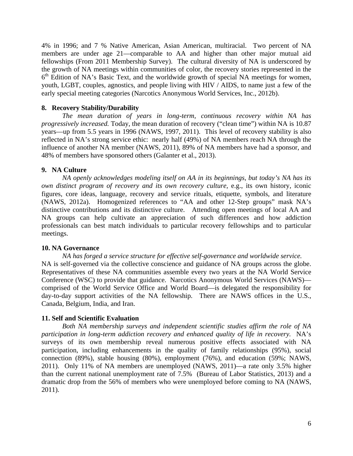4% in 1996; and 7 % Native American, Asian American, multiracial. Two percent of NA members are under age 21—comparable to AA and higher than other major mutual aid fellowships (From 2011 Membership Survey). The cultural diversity of NA is underscored by the growth of NA meetings within communities of color, the recovery stories represented in the  $6<sup>th</sup>$  Edition of NA's Basic Text, and the worldwide growth of special NA meetings for women, youth, LGBT, couples, agnostics, and people living with HIV / AIDS, to name just a few of the early special meeting categories (Narcotics Anonymous World Services, Inc., 2012b).

### **8. Recovery Stability/Durability**

*The mean duration of years in long-term, continuous recovery within NA has progressively increased.* Today, the mean duration of recovery ("clean time") within NA is 10.87 years—up from 5.5 years in 1996 (NAWS, 1997, 2011). This level of recovery stability is also reflected in NA's strong service ethic: nearly half (49%) of NA members reach NA through the influence of another NA member (NAWS, 2011), 89% of NA members have had a sponsor, and 48% of members have sponsored others (Galanter et al., 2013).

#### **9. NA Culture**

*NA openly acknowledges modeling itself on AA in its beginnings, but today's NA has its own distinct program of recovery and its own recovery culture,* e.g., its own history, iconic figures, core ideas, language, recovery and service rituals, etiquette, symbols, and literature (NAWS, 2012a). Homogenized references to "AA and other 12-Step groups" mask NA's distinctive contributions and its distinctive culture. Attending open meetings of local AA and NA groups can help cultivate an appreciation of such differences and how addiction professionals can best match individuals to particular recovery fellowships and to particular meetings.

#### **10. NA Governance**

*NA has forged a service structure for effective self-governance and worldwide service.*  NA is self-governed via the collective conscience and guidance of NA groups across the globe. Representatives of these NA communities assemble every two years at the NA World Service Conference (WSC) to provide that guidance. Narcotics Anonymous World Services (NAWS) comprised of the World Service Office and World Board—is delegated the responsibility for day-to-day support activities of the NA fellowship. There are NAWS offices in the U.S., Canada, Belgium, India, and Iran.

#### **11. Self and Scientific Evaluation**

*Both NA membership surveys and independent scientific studies affirm the role of NA participation in long-term addiction recovery and enhanced quality of life in recovery.* NA's surveys of its own membership reveal numerous positive effects associated with NA participation, including enhancements in the quality of family relationships (95%), social connection (89%), stable housing (80%), employment (76%), and education (59%; NAWS, 2011). Only 11% of NA members are unemployed (NAWS, 2011)—a rate only 3.5% higher than the current national unemployment rate of 7.5% (Bureau of Labor Statistics, 2013) and a dramatic drop from the 56% of members who were unemployed before coming to NA (NAWS, 2011).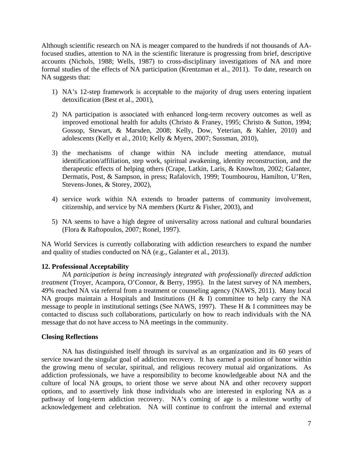Although scientific research on NA is meager compared to the hundreds if not thousands of AAfocused studies, attention to NA in the scientific literature is progressing from brief, descriptive accounts (Nichols, 1988; Wells, 1987) to cross-disciplinary investigations of NA and more formal studies of the effects of NA participation (Krentzman et al., 2011). To date, research on NA suggests that:

- 1) NA's 12-step framework is acceptable to the majority of drug users entering inpatient detoxification (Best et al., 2001),
- 2) NA participation is associated with enhanced long-term recovery outcomes as well as improved emotional health for adults (Christo & Franey, 1995; Christo & Sutton, 1994; Gossop, Stewart, & Marsden, 2008; Kelly, Dow, Yeterian, & Kahler, 2010) and adolescents (Kelly et al., 2010; Kelly & Myers, 2007; Sussman, 2010),
- 3) the mechanisms of change within NA include meeting attendance, mutual identification/affiliation, step work, spiritual awakening, identity reconstruction, and the therapeutic effects of helping others (Crape, Latkin, Laris, & Knowlton, 2002; Galanter, Dermatis, Post, & Sampson, in press; Rafalovich, 1999; Toumbourou, Hamilton, U'Ren, Stevens-Jones, & Storey, 2002),
- 4) service work within NA extends to broader patterns of community involvement, citizenship, and service by NA members (Kurtz & Fisher, 2003), and
- 5) NA seems to have a high degree of universality across national and cultural boundaries (Flora & Raftopoulos, 2007; Ronel, 1997).

NA World Services is currently collaborating with addiction researchers to expand the number and quality of studies conducted on NA (e.g., Galanter et al., 2013).

### **12. Professional Acceptability**

*NA participation is being increasingly integrated with professionally directed addiction treatment* (Troyer, Acampora, O'Connor, & Berry, 1995). In the latest survey of NA members, 49% reached NA via referral from a treatment or counseling agency (NAWS, 2011). Many local NA groups maintain a Hospitals and Institutions ( $H \& S$  I) committee to help carry the NA message to people in institutional settings (See NAWS, 1997). These H  $&$  I committees may be contacted to discuss such collaborations, particularly on how to reach individuals with the NA message that do not have access to NA meetings in the community.

#### **Closing Reflections**

 NA has distinguished itself through its survival as an organization and its 60 years of service toward the singular goal of addiction recovery. It has earned a position of honor within the growing menu of secular, spiritual, and religious recovery mutual aid organizations. As addiction professionals, we have a responsibility to become knowledgeable about NA and the culture of local NA groups, to orient those we serve about NA and other recovery support options, and to assertively link those individuals who are interested in exploring NA as a pathway of long-term addiction recovery. NA's coming of age is a milestone worthy of acknowledgement and celebration. NA will continue to confront the internal and external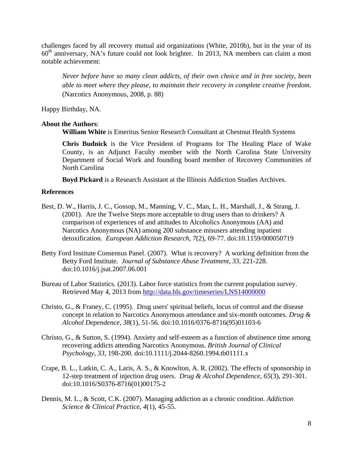challenges faced by all recovery mutual aid organizations (White, 2010b), but in the year of its  $60<sup>th</sup>$  anniversary, NA's future could not look brighter. In 2013, NA members can claim a most notable achievement:

*Never before have so many clean addicts, of their own choice and in free society, been able to meet where they please, to maintain their recovery in complete creative freedom*. (Narcotics Anonymous, 2008, p. 88)

Happy Birthday, NA.

### **About the Authors**:

**William White** is Emeritus Senior Research Consultant at Chestnut Health Systems

**Chris Budnick** is the Vice President of Programs for The Healing Place of Wake County, is an Adjunct Faculty member with the North Carolina State University Department of Social Work and founding board member of Recovery Communities of North Carolina

**Boyd Pickard** is a Research Assistant at the Illinois Addiction Studies Archives.

#### **References**

- Best, D. W., Harris, J. C., Gossop, M., Manning, V. C., Man, L. H., Marshall, J., & Strang, J. (2001). Are the Twelve Steps more acceptable to drug users than to drinkers? A comparison of experiences of and attitudes to Alcoholics Anonymous (AA) and Narcotics Anonymous (NA) among 200 substance misusers attending inpatient detoxification. *European Addiction Research*, *7*(2), 69-77. doi:10.1159/000050719
- Betty Ford Institute Consensus Panel. (2007). What is recovery? A working definition from the Betty Ford Institute. *Journal of Substance Abuse Treatment*, *33*, 221-228. doi:10.1016/j.jsat.2007.06.001
- Bureau of Labor Statistics. (2013). Labor force statistics from the current population survey. Retrieved May 4, 2013 from http://data.bls.gov/timeseries/LNS14000000
- Christo, G., & Franey, C. (1995). Drug users' spiritual beliefs, locus of control and the disease concept in relation to Narcotics Anonymous attendance and six-month outcomes. *Drug & Alcohol Dependence, 38*(1), 51-56. doi:10.1016/0376-8716(95)01103-6
- Christo, G., & Sutton, S. (1994). Anxiety and self-esteem as a function of abstinence time among recovering addicts attending Narcotics Anonymous. *British Journal of Clinical Psychology, 33*, 198-200. doi:10.1111/j.2044-8260.1994.tb01111.x
- Crape, B. L., Latkin, C. A., Laris, A. S., & Knowlton, A. R. (2002). The effects of sponsorship in 12-step treatment of injection drug users. *Drug & Alcohol Dependence*, *65*(3), 291-301. doi:10.1016/S0376-8716(01)00175-2
- Dennis, M. L., & Scott, C.K. (2007). Managing addiction as a chronic condition. *Addiction Science & Clinical Practice*, *4*(1), 45-55.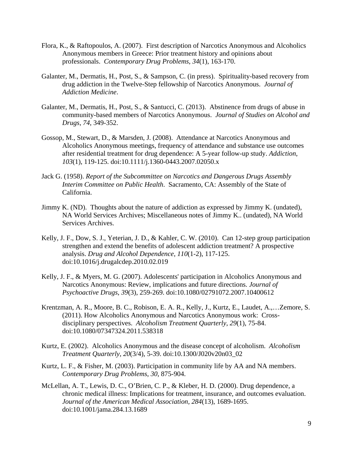- Flora, K., & Raftopoulos, A. (2007). First description of Narcotics Anonymous and Alcoholics Anonymous members in Greece: Prior treatment history and opinions about professionals. *Contemporary Drug Problems*, *34*(1), 163-170.
- Galanter, M., Dermatis, H., Post, S., & Sampson, C. (in press). Spirituality-based recovery from drug addiction in the Twelve-Step fellowship of Narcotics Anonymous. *Journal of Addiction Medicine*.
- Galanter, M., Dermatis, H., Post, S., & Santucci, C. (2013). Abstinence from drugs of abuse in community-based members of Narcotics Anonymous. *Journal of Studies on Alcohol and Drugs*, *74*, 349-352.
- Gossop, M., Stewart, D., & Marsden, J. (2008). Attendance at Narcotics Anonymous and Alcoholics Anonymous meetings, frequency of attendance and substance use outcomes after residential treatment for drug dependence: A 5-year follow-up study. *Addiction*, *103*(1), 119-125. doi:10.1111/j.1360-0443.2007.02050.x
- Jack G. (1958). *Report of the Subcommittee on Narcotics and Dangerous Drugs Assembly Interim Committee on Public Health*. Sacramento, CA: Assembly of the State of California.
- Jimmy K. (ND). Thoughts about the nature of addiction as expressed by Jimmy K. (undated), NA World Services Archives; Miscellaneous notes of Jimmy K.. (undated), NA World Services Archives.
- Kelly, J. F., Dow, S. J., Yeterian, J. D., & Kahler, C. W. (2010). Can 12-step group participation strengthen and extend the benefits of adolescent addiction treatment? A prospective analysis. *Drug and Alcohol Dependence*, *110*(1-2), 117-125. doi:10.1016/j.drugalcdep.2010.02.019
- Kelly, J. F., & Myers, M. G. (2007). Adolescents' participation in Alcoholics Anonymous and Narcotics Anonymous: Review, implications and future directions. *Journal of Psychoactive Drugs*, *39*(3), 259-269. doi:10.1080/02791072.2007.10400612
- Krentzman, A. R., Moore, B. C., Robison, E. A. R., Kelly, J., Kurtz, E., Laudet, A.,…Zemore, S. (2011). How Alcoholics Anonymous and Narcotics Anonymous work: Crossdisciplinary perspectives. *Alcoholism Treatment Quarterly*, *29*(1), 75-84. doi:10.1080/07347324.2011.538318
- Kurtz, E. (2002). Alcoholics Anonymous and the disease concept of alcoholism. *Alcoholism Treatment Quarterly*, *20*(3/4), 5-39. doi:10.1300/J020v20n03\_02
- Kurtz, L. F., & Fisher, M. (2003). Participation in community life by AA and NA members. *Contemporary Drug Problems*, *30*, 875-904.
- McLellan, A. T., Lewis, D. C., O'Brien, C. P., & Kleber, H. D. (2000). Drug dependence, a chronic medical illness: Implications for treatment, insurance, and outcomes evaluation. *Journal of the American Medical Association, 284*(13), 1689-1695. doi:10.1001/jama.284.13.1689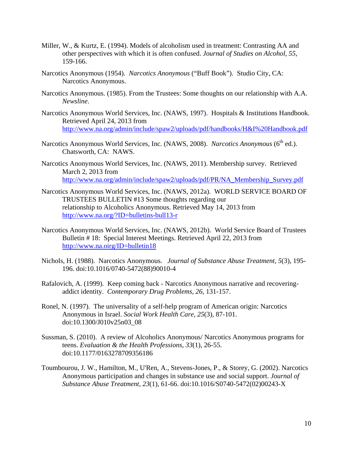- Miller, W., & Kurtz, E. (1994). Models of alcoholism used in treatment: Contrasting AA and other perspectives with which it is often confused. *Journal of Studies on Alcohol*, *55*, 159-166.
- Narcotics Anonymous (1954). *Narcotics Anonymous* ("Buff Book"). Studio City, CA: Narcotics Anonymous.
- Narcotics Anonymous. (1985). From the Trustees: Some thoughts on our relationship with A.A. *Newsline*.
- Narcotics Anonymous World Services, Inc. (NAWS, 1997). Hospitals & Institutions Handbook. Retrieved April 24, 2013 from http://www.na.org/admin/include/spaw2/uploads/pdf/handbooks/H&I%20Handbook.pdf
- Narcotics Anonymous World Services, Inc. (NAWS, 2008). *Narcotics Anonymous* (6<sup>th</sup> ed.). Chatsworth, CA: NAWS.
- Narcotics Anonymous World Services, Inc. (NAWS, 2011). Membership survey. Retrieved March 2, 2013 from http://www.na.org/admin/include/spaw2/uploads/pdf/PR/NA\_Membership\_Survey.pdf
- Narcotics Anonymous World Services, Inc. (NAWS, 2012a). WORLD SERVICE BOARD OF TRUSTEES BULLETIN #13 Some thoughts regarding our relationship to Alcoholics Anonymous. Retrieved May 14, 2013 from http://www.na.org/?ID=bulletins-bull13-r
- Narcotics Anonymous World Services, Inc. (NAWS, 2012b). World Service Board of Trustees Bulletin # 18: Special Interest Meetings. Retrieved April 22, 2013 from http://www.na.oirg/ID=bulletin18
- Nichols, H. (1988). Narcotics Anonymous. *Journal of Substance Abuse Treatment, 5*(3), 195- 196. doi:10.1016/0740-5472(88)90010-4
- Rafalovich, A. (1999). Keep coming back Narcotics Anonymous narrative and recoveringaddict identity. *Contemporary Drug Problems, 26*, 131-157.
- Ronel, N. (1997). The universality of a self-help program of American origin: Narcotics Anonymous in Israel. *Social Work Health Care*, *25*(3), 87-101. doi:10.1300/J010v25n03\_08
- Sussman, S. (2010). A review of Alcoholics Anonymous/ Narcotics Anonymous programs for teens. *Evaluation & the Health Professions, 33*(1), 26-55. doi:10.1177/0163278709356186
- Toumbourou, J. W., Hamilton, M., U'Ren, A., Stevens-Jones, P., & Storey, G. (2002). Narcotics Anonymous participation and changes in substance use and social support. *Journal of Substance Abuse Treatment, 23*(1), 61-66. doi:10.1016/S0740-5472(02)00243-X